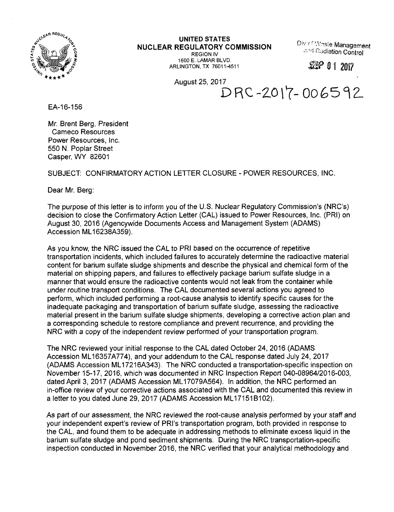

**UNITED STATES NUCLEAR REGULATORY COMMISSION** REGION IV

1600 E. LAMAR BLVD. ARLINGTON, TX 76011-4511 Div r**' 'A'.Tsle Management Radiation Control**

*MP* **<sup>0</sup> <sup>1</sup> <sup>201</sup>?**

August 25, 2017

DRC-ZOlY- 0065^^

EA-16-156

Mr. Brent Berg, President Cameco Resources Power Resources, Inc. 550 N. Poplar Street Casper, WY 82601

SUBJECT: CONFIRMATORY ACTION LETTER CLOSURE - POWER RESOURCES, INC.

Dear Mr. Berg:

The purpose of this letter is to inform you of the U.S. Nuclear Regulatory Commission's (NRC's) decision to close the Confirmatory Action Letter (CAL) issued to Power Resources, Inc. (PRI) on August 30, 2016 (Agencywide Documents Access and Management System (ADAMS) Accession ML16238A359).

As you know, the NRC issued the CAL to PRI based on the occurrence of repetitive transportation incidents, which included failures to accurately determine the radioactive material content for barium sulfate sludge shipments and describe the physical and chemical form of the material on shipping papers, and failures to effectively package barium sulfate sludge in a manner that would ensure the radioactive contents would not leak from the container while under routine transport conditions. The CAL documented several actions you agreed to perform, which included performing a root-cause analysis to identify specific causes for the inadequate packaging and transportation of barium sulfate sludge, assessing the radioactive material present in the barium sulfate sludge shipments, developing a corrective action plan and a corresponding schedule to restore compliance and prevent recurrence, and providing the NRC with a copy of the independent review performed of your transportation program.

The NRC reviewed your initial response to the CAL dated October 24, 2016 (ADAMS Accession ML16357A774), and your addendum to the CAL response dated July 24, 2017 (ADAMS Accession ML17216A343). The NRC conducted a transportation-specific inspection on November 15-17, 2016, which was documented in NRC Inspection Report 040-08964/2016-003, dated April 3, 2017 (ADAMS Accession ML17079A564). In addition, the NRC performed an in-office review of your corrective actions associated with the CAL and documented this review in a letter to you dated June 29, 2017 (ADAMS Accession ML17151B102).

As part of our assessment, the NRC reviewed the root-cause analysis performed by your staff and your independent expert's review of PRI's transportation program, both provided in response to the CAL, and found them to be adequate in addressing methods to eliminate excess liquid in the barium sulfate sludge and pond sediment shipments. During the NRC transportation-specific inspection conducted in November 2016, the NRC verified that your analytical methodology and